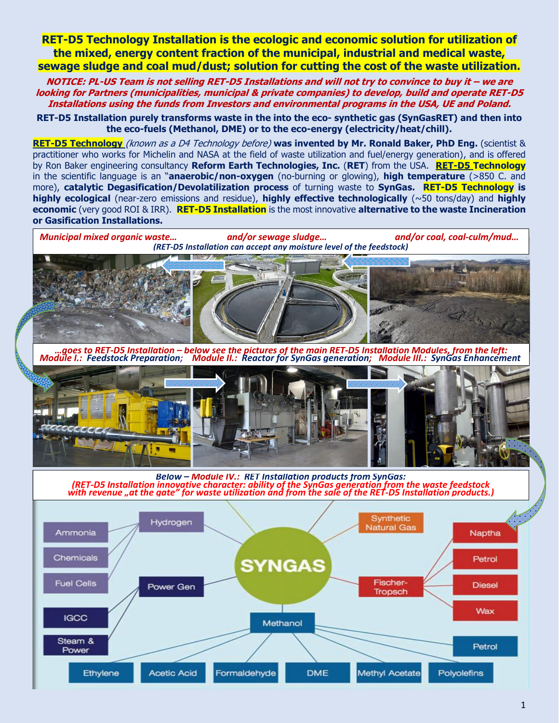**RET-D5 Technology Installation is the ecologic and economic solution for utilization of the mixed, energy content fraction of the municipal, industrial and medical waste, sewage sludge and coal mud/dust; solution for cutting the cost of the waste utilization.**

**NOTICE: PL-US Team is not selling RET-D5 Installations and will not try to convince to buy it – we are looking for Partners (municipalities, municipal & private companies) to develop, build and operate RET-D5 Installations using the funds from Investors and environmental programs in the USA, UE and Poland.**

**RET-D5 Installation purely transforms waste in the into the eco- synthetic gas (SynGasRET) and then into the eco-fuels (Methanol, DME) or to the eco-energy (electricity/heat/chill).**

**RET-D5 Technology** (known as a D4 Technology before) **was invented by Mr. Ronald Baker, PhD Eng.** (scientist & practitioner who works for Michelin and NASA at the field of waste utilization and fuel/energy generation), and is offered by Ron Baker engineering consultancy **Reform Earth Technologies, Inc.** (**RET**) from the USA. **RET-D5 Technology** in the scientific language is an "**anaerobic/non-oxygen** (no-burning or glowing), **high temperature** (>850 C. and more), **catalytic Degasification/Devolatilization process** of turning waste to **SynGas. RET-D5 Technology is highly ecological** (near-zero emissions and residue), **highly effective technologically** (~50 tons/day) and **highly economic** (very good ROI & IRR). **RET-D5 Installation** is the most innovative **alternative to the waste Incineration or Gasification Installations.**

*Municipal mixed organic waste… and/or sewage sludge… and/or coal, coal-culm/mud… (RET-D5 Installation can accept any moisture level of the feedstock)*

*…goes to RET-D5 Installation – below see the pictures of the main RET-D5 Installation Modules, from the left: Module I.: Feedstock Preparation; Module II.: Reactor for SynGas generation; Module III.: SynGas Enhancement*



*Below – Module IV.: RET Installation products from SynGas: (RET-D5 Installation innovative character: ability of the SynGas generation from the waste feedstock with revenue "at the gate" for waste utilization and from the sale of the RET-D5 Installation products.)*